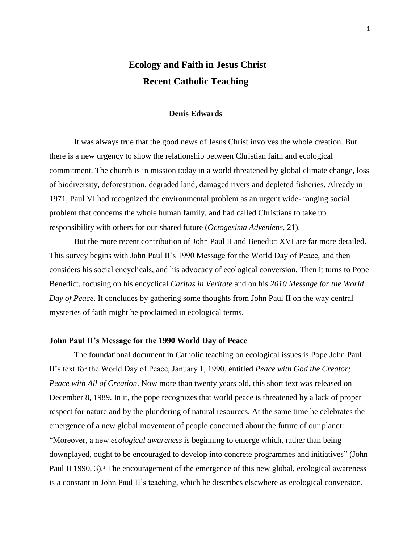# **Ecology and Faith in Jesus Christ Recent Catholic Teaching**

# **Denis Edwards**

It was always true that the good news of Jesus Christ involves the whole creation. But there is a new urgency to show the relationship between Christian faith and ecological commitment. The church is in mission today in a world threatened by global climate change, loss of biodiversity, deforestation, degraded land, damaged rivers and depleted fisheries. Already in 1971, Paul VI had recognized the environmental problem as an urgent wide- ranging social problem that concerns the whole human family, and had called Christians to take up responsibility with others for our shared future (*Octogesima Adveniens*, 21).

But the more recent contribution of John Paul II and Benedict XVI are far more detailed. This survey begins with John Paul II's 1990 Message for the World Day of Peace, and then considers his social encyclicals, and his advocacy of ecological conversion. Then it turns to Pope Benedict, focusing on his encyclical *Caritas in Veritate* and on his *2010 Message for the World Day of Peace*. It concludes by gathering some thoughts from John Paul II on the way central mysteries of faith might be proclaimed in ecological terms.

# **John Paul II's Message for the 1990 World Day of Peace**

The foundational document in Catholic teaching on ecological issues is Pope John Paul II's text for the World Day of Peace, January 1, 1990, entitled *Peace with God the Creator; Peace with All of Creation*. Now more than twenty years old, this short text was released on December 8, 1989. In it, the pope recognizes that world peace is threatened by a lack of proper respect for nature and by the plundering of natural resources. At the same time he celebrates the emergence of a new global movement of people concerned about the future of our planet: ―Moreover, a new *ecological awareness* is beginning to emerge which, rather than being downplayed, ought to be encouraged to develop into concrete programmes and initiatives" (John Paul II 1990, 3).<sup>1</sup> The encouragement of the emergence of this new global, ecological awareness is a constant in John Paul II's teaching, which he describes elsewhere as ecological conversion.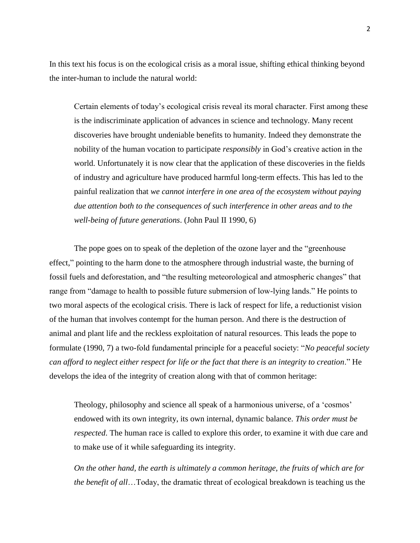In this text his focus is on the ecological crisis as a moral issue, shifting ethical thinking beyond the inter-human to include the natural world:

Certain elements of today's ecological crisis reveal its moral character. First among these is the indiscriminate application of advances in science and technology. Many recent discoveries have brought undeniable benefits to humanity. Indeed they demonstrate the nobility of the human vocation to participate *responsibly* in God's creative action in the world. Unfortunately it is now clear that the application of these discoveries in the fields of industry and agriculture have produced harmful long-term effects. This has led to the painful realization that *we cannot interfere in one area of the ecosystem without paying due attention both to the consequences of such interference in other areas and to the well-being of future generations*. (John Paul II 1990, 6)

The pope goes on to speak of the depletion of the ozone layer and the "greenhouse" effect," pointing to the harm done to the atmosphere through industrial waste, the burning of fossil fuels and deforestation, and "the resulting meteorological and atmospheric changes" that range from "damage to health to possible future submersion of low-lying lands." He points to two moral aspects of the ecological crisis. There is lack of respect for life, a reductionist vision of the human that involves contempt for the human person. And there is the destruction of animal and plant life and the reckless exploitation of natural resources. This leads the pope to formulate (1990, 7) a two-fold fundamental principle for a peaceful society: "*No peaceful society can afford to neglect either respect for life or the fact that there is an integrity to creation.*" He develops the idea of the integrity of creation along with that of common heritage:

Theology, philosophy and science all speak of a harmonious universe, of a 'cosmos' endowed with its own integrity, its own internal, dynamic balance. *This order must be respected*. The human race is called to explore this order, to examine it with due care and to make use of it while safeguarding its integrity.

*On the other hand, the earth is ultimately a common heritage, the fruits of which are for the benefit of all*…Today, the dramatic threat of ecological breakdown is teaching us the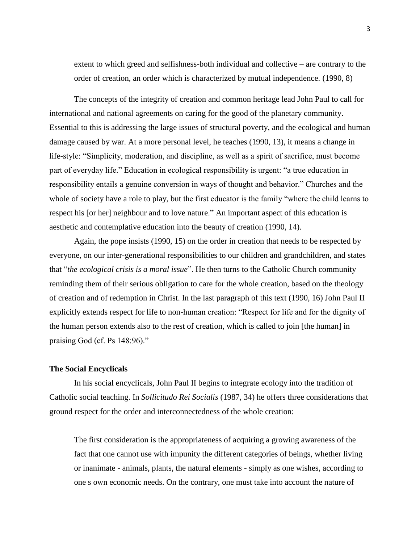extent to which greed and selfishness-both individual and collective – are contrary to the order of creation, an order which is characterized by mutual independence. (1990, 8)

The concepts of the integrity of creation and common heritage lead John Paul to call for international and national agreements on caring for the good of the planetary community. Essential to this is addressing the large issues of structural poverty, and the ecological and human damage caused by war. At a more personal level, he teaches (1990, 13), it means a change in life-style: "Simplicity, moderation, and discipline, as well as a spirit of sacrifice, must become part of everyday life." Education in ecological responsibility is urgent: "a true education in responsibility entails a genuine conversion in ways of thought and behavior." Churches and the whole of society have a role to play, but the first educator is the family "where the child learns to respect his [or her] neighbour and to love nature." An important aspect of this education is aesthetic and contemplative education into the beauty of creation (1990, 14).

Again, the pope insists (1990, 15) on the order in creation that needs to be respected by everyone, on our inter-generational responsibilities to our children and grandchildren, and states that "*the ecological crisis is a moral issue*". He then turns to the Catholic Church community reminding them of their serious obligation to care for the whole creation, based on the theology of creation and of redemption in Christ. In the last paragraph of this text (1990, 16) John Paul II explicitly extends respect for life to non-human creation: "Respect for life and for the dignity of the human person extends also to the rest of creation, which is called to join [the human] in praising God (cf. Ps  $148:96$ )."

# **The Social Encyclicals**

In his social encyclicals, John Paul II begins to integrate ecology into the tradition of Catholic social teaching. In *Sollicitudo Rei Socialis* (1987, 34) he offers three considerations that ground respect for the order and interconnectedness of the whole creation:

The first consideration is the appropriateness of acquiring a growing awareness of the fact that one cannot use with impunity the different categories of beings, whether living or inanimate - animals, plants, the natural elements - simply as one wishes, according to one s own economic needs. On the contrary, one must take into account the nature of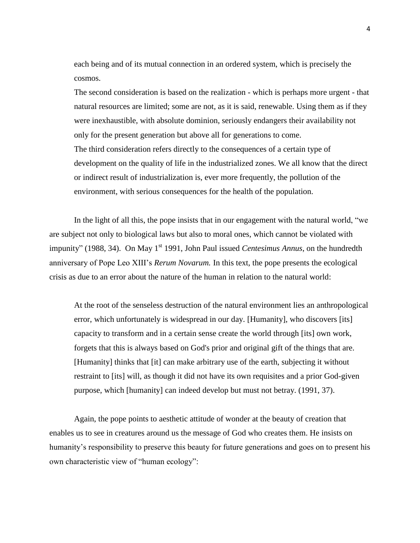each being and of its mutual connection in an ordered system, which is precisely the cosmos.

The second consideration is based on the realization - which is perhaps more urgent - that natural resources are limited; some are not, as it is said, renewable. Using them as if they were inexhaustible, with absolute dominion, seriously endangers their availability not only for the present generation but above all for generations to come. The third consideration refers directly to the consequences of a certain type of development on the quality of life in the industrialized zones. We all know that the direct or indirect result of industrialization is, ever more frequently, the pollution of the environment, with serious consequences for the health of the population.

In the light of all this, the pope insists that in our engagement with the natural world,  $\degree$  we are subject not only to biological laws but also to moral ones, which cannot be violated with impunity" (1988, 34). On May 1<sup>st</sup> 1991, John Paul issued *Centesimus Annus*, on the hundredth anniversary of Pope Leo XIII's *Rerum Novarum.* In this text, the pope presents the ecological crisis as due to an error about the nature of the human in relation to the natural world:

At the root of the senseless destruction of the natural environment lies an anthropological error, which unfortunately is widespread in our day. [Humanity], who discovers [its] capacity to transform and in a certain sense create the world through [its] own work, forgets that this is always based on God's prior and original gift of the things that are. [Humanity] thinks that [it] can make arbitrary use of the earth, subjecting it without restraint to [its] will, as though it did not have its own requisites and a prior God-given purpose, which [humanity] can indeed develop but must not betray. (1991, 37).

Again, the pope points to aesthetic attitude of wonder at the beauty of creation that enables us to see in creatures around us the message of God who creates them. He insists on humanity's responsibility to preserve this beauty for future generations and goes on to present his own characteristic view of "human ecology":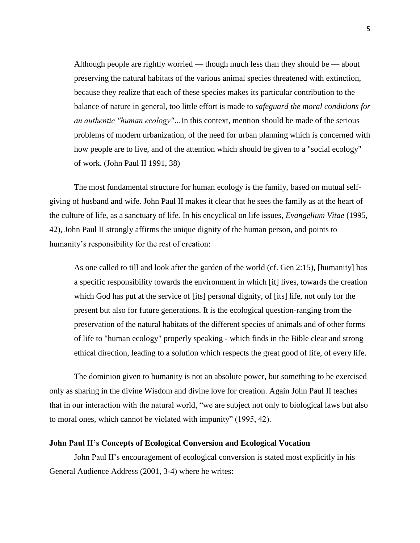Although people are rightly worried — though much less than they should be — about preserving the natural habitats of the various animal species threatened with extinction, because they realize that each of these species makes its particular contribution to the balance of nature in general, too little effort is made to *safeguard the moral conditions for an authentic "human ecology"…*In this context, mention should be made of the serious problems of modern urbanization, of the need for urban planning which is concerned with how people are to live, and of the attention which should be given to a "social ecology" of work. (John Paul II 1991, 38)

The most fundamental structure for human ecology is the family, based on mutual selfgiving of husband and wife. John Paul II makes it clear that he sees the family as at the heart of the culture of life, as a sanctuary of life. In his encyclical on life issues, *Evangelium Vitae* (1995, 42), John Paul II strongly affirms the unique dignity of the human person, and points to humanity's responsibility for the rest of creation:

As one called to till and look after the garden of the world (cf. Gen 2:15), [humanity] has a specific responsibility towards the environment in which [it] lives, towards the creation which God has put at the service of [its] personal dignity, of [its] life, not only for the present but also for future generations. It is the ecological question-ranging from the preservation of the natural habitats of the different species of animals and of other forms of life to "human ecology" properly speaking - which finds in the Bible clear and strong ethical direction, leading to a solution which respects the great good of life, of every life.

The dominion given to humanity is not an absolute power, but something to be exercised only as sharing in the divine Wisdom and divine love for creation. Again John Paul II teaches that in our interaction with the natural world, "we are subject not only to biological laws but also to moral ones, which cannot be violated with impunity" (1995, 42).

# **John Paul II's Concepts of Ecological Conversion and Ecological Vocation**

John Paul II's encouragement of ecological conversion is stated most explicitly in his General Audience Address (2001, 3-4) where he writes: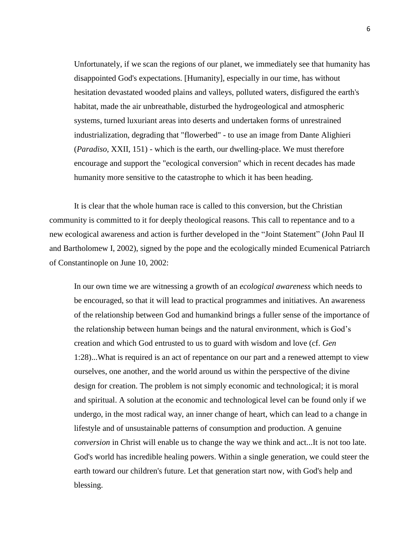Unfortunately, if we scan the regions of our planet, we immediately see that humanity has disappointed God's expectations. [Humanity], especially in our time, has without hesitation devastated wooded plains and valleys, polluted waters, disfigured the earth's habitat, made the air unbreathable, disturbed the hydrogeological and atmospheric systems, turned luxuriant areas into deserts and undertaken forms of unrestrained industrialization, degrading that "flowerbed" - to use an image from Dante Alighieri (*Paradiso*, XXII, 151) - which is the earth, our dwelling-place. We must therefore encourage and support the "ecological conversion" which in recent decades has made humanity more sensitive to the catastrophe to which it has been heading.

It is clear that the whole human race is called to this conversion, but the Christian community is committed to it for deeply theological reasons. This call to repentance and to a new ecological awareness and action is further developed in the "Joint Statement" (John Paul II and Bartholomew I, 2002), signed by the pope and the ecologically minded Ecumenical Patriarch of Constantinople on June 10, 2002:

In our own time we are witnessing a growth of an *ecological awareness* which needs to be encouraged, so that it will lead to practical programmes and initiatives. An awareness of the relationship between God and humankind brings a fuller sense of the importance of the relationship between human beings and the natural environment, which is God's creation and which God entrusted to us to guard with wisdom and love (cf. *Gen* 1:28)...What is required is an act of repentance on our part and a renewed attempt to view ourselves, one another, and the world around us within the perspective of the divine design for creation. The problem is not simply economic and technological; it is moral and spiritual. A solution at the economic and technological level can be found only if we undergo, in the most radical way, an inner change of heart, which can lead to a change in lifestyle and of unsustainable patterns of consumption and production. A genuine *conversion* in Christ will enable us to change the way we think and act...It is not too late. God's world has incredible healing powers. Within a single generation, we could steer the earth toward our children's future. Let that generation start now, with God's help and blessing.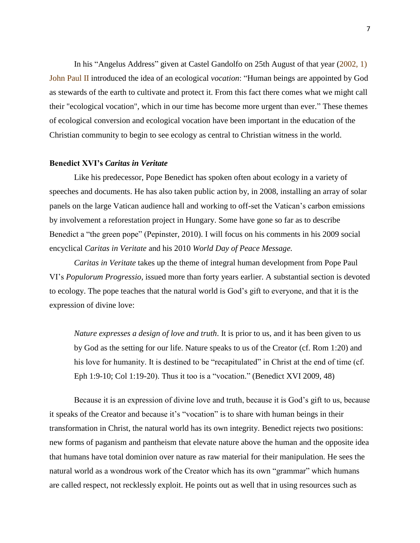In his "Angelus Address" given at Castel Gandolfo on 25th August of that year  $(2002, 1)$ John Paul II introduced the idea of an ecological *vocation*: "Human beings are appointed by God as stewards of the earth to cultivate and protect it. From this fact there comes what we might call their "ecological vocation", which in our time has become more urgent than ever." These themes of ecological conversion and ecological vocation have been important in the education of the Christian community to begin to see ecology as central to Christian witness in the world.

#### **Benedict XVI's** *Caritas in Veritate*

Like his predecessor, Pope Benedict has spoken often about ecology in a variety of speeches and documents. He has also taken public action by, in 2008, installing an array of solar panels on the large Vatican audience hall and working to off-set the Vatican's carbon emissions by involvement a reforestation project in Hungary. Some have gone so far as to describe Benedict a "the green pope" (Pepinster, 2010). I will focus on his comments in his 2009 social encyclical *Caritas in Veritate* and his 2010 *World Day of Peace Message.*

*Caritas in Veritate* takes up the theme of integral human development from Pope Paul VI's *Populorum Progressio*, issued more than forty years earlier. A substantial section is devoted to ecology. The pope teaches that the natural world is God's gift to everyone, and that it is the expression of divine love:

*Nature expresses a design of love and truth*. It is prior to us, and it has been given to us by God as the setting for our life. Nature speaks to us of the Creator (cf. Rom 1:20) and his love for humanity. It is destined to be "recapitulated" in Christ at the end of time (cf. Eph 1:9-10; Col 1:19-20). Thus it too is a "vocation." (Benedict XVI 2009, 48)

Because it is an expression of divine love and truth, because it is God's gift to us, because it speaks of the Creator and because it's "vocation" is to share with human beings in their transformation in Christ, the natural world has its own integrity. Benedict rejects two positions: new forms of paganism and pantheism that elevate nature above the human and the opposite idea that humans have total dominion over nature as raw material for their manipulation. He sees the natural world as a wondrous work of the Creator which has its own "grammar" which humans are called respect, not recklessly exploit. He points out as well that in using resources such as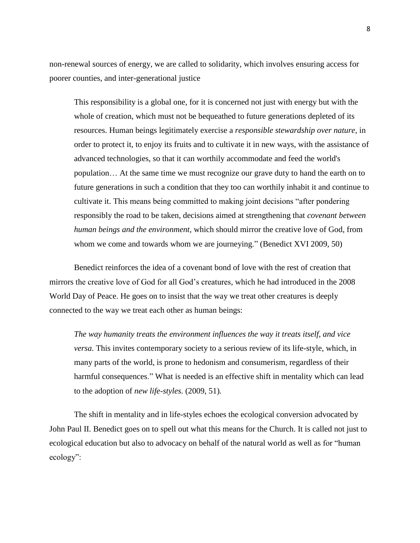non-renewal sources of energy, we are called to solidarity, which involves ensuring access for poorer counties, and inter-generational justice

This responsibility is a global one, for it is concerned not just with energy but with the whole of creation, which must not be bequeathed to future generations depleted of its resources. Human beings legitimately exercise a *responsible stewardship over nature*, in order to protect it, to enjoy its fruits and to cultivate it in new ways, with the assistance of advanced technologies, so that it can worthily accommodate and feed the world's population… At the same time we must recognize our grave duty to hand the earth on to future generations in such a condition that they too can worthily inhabit it and continue to cultivate it. This means being committed to making joint decisions "after pondering responsibly the road to be taken, decisions aimed at strengthening that *covenant between human beings and the environment*, which should mirror the creative love of God, from whom we come and towards whom we are journeying." (Benedict XVI 2009, 50)

Benedict reinforces the idea of a covenant bond of love with the rest of creation that mirrors the creative love of God for all God's creatures, which he had introduced in the 2008 World Day of Peace. He goes on to insist that the way we treat other creatures is deeply connected to the way we treat each other as human beings:

*The way humanity treats the environment influences the way it treats itself, and vice versa*. This invites contemporary society to a serious review of its life-style, which, in many parts of the world, is prone to hedonism and consumerism, regardless of their harmful consequences." What is needed is an effective shift in mentality which can lead to the adoption of *new life-styles.* (2009, 51)*.*

The shift in mentality and in life-styles echoes the ecological conversion advocated by John Paul II. Benedict goes on to spell out what this means for the Church. It is called not just to ecological education but also to advocacy on behalf of the natural world as well as for "human" ecology":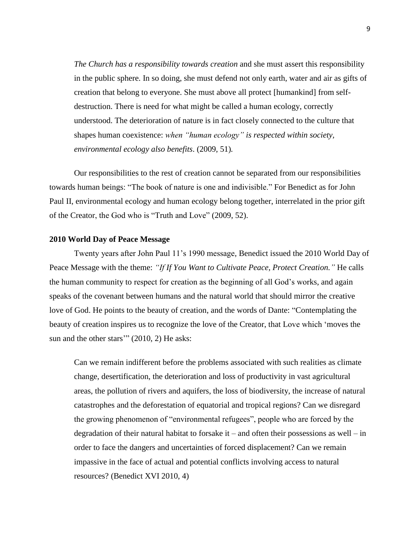*The Church has a responsibility towards creation* and she must assert this responsibility in the public sphere. In so doing, she must defend not only earth, water and air as gifts of creation that belong to everyone. She must above all protect [humankind] from selfdestruction. There is need for what might be called a human ecology, correctly understood. The deterioration of nature is in fact closely connected to the culture that shapes human coexistence: *when "human ecology" is respected within society, environmental ecology also benefits*. (2009, 51)*.*

Our responsibilities to the rest of creation cannot be separated from our responsibilities towards human beings: "The book of nature is one and indivisible." For Benedict as for John Paul II, environmental ecology and human ecology belong together, interrelated in the prior gift of the Creator, the God who is "Truth and Love" (2009, 52).

# **2010 World Day of Peace Message**

Twenty years after John Paul 11's 1990 message, Benedict issued the 2010 World Day of Peace Message with the theme: *"If If You Want to Cultivate Peace, Protect Creation."* He calls the human community to respect for creation as the beginning of all God's works, and again speaks of the covenant between humans and the natural world that should mirror the creative love of God. He points to the beauty of creation, and the words of Dante: "Contemplating the beauty of creation inspires us to recognize the love of the Creator, that Love which 'moves the sun and the other stars'"  $(2010, 2)$  He asks:

Can we remain indifferent before the problems associated with such realities as climate change, desertification, the deterioration and loss of productivity in vast agricultural areas, the pollution of rivers and aquifers, the loss of biodiversity, the increase of natural catastrophes and the deforestation of equatorial and tropical regions? Can we disregard the growing phenomenon of "environmental refugees", people who are forced by the degradation of their natural habitat to forsake it – and often their possessions as well – in order to face the dangers and uncertainties of forced displacement? Can we remain impassive in the face of actual and potential conflicts involving access to natural resources? (Benedict XVI 2010, 4)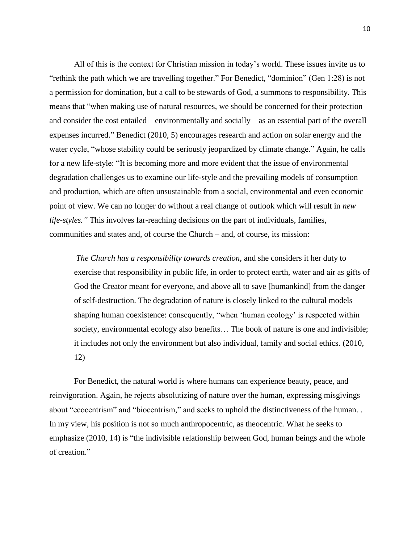All of this is the context for Christian mission in today's world. These issues invite us to ―rethink the path which we are travelling together.‖ For Benedict, ―dominion‖ (Gen 1:28) is not a permission for domination, but a call to be stewards of God, a summons to responsibility. This means that "when making use of natural resources, we should be concerned for their protection and consider the cost entailed – environmentally and socially – as an essential part of the overall expenses incurred." Benedict (2010, 5) encourages research and action on solar energy and the water cycle, "whose stability could be seriously jeopardized by climate change." Again, he calls for a new life-style: "It is becoming more and more evident that the issue of environmental degradation challenges us to examine our life-style and the prevailing models of consumption and production, which are often unsustainable from a social, environmental and even economic point of view. We can no longer do without a real change of outlook which will result in *new life-styles."* This involves far-reaching decisions on the part of individuals, families, communities and states and, of course the Church – and, of course, its mission:

*The Church has a responsibility towards creation*, and she considers it her duty to exercise that responsibility in public life, in order to protect earth, water and air as gifts of God the Creator meant for everyone, and above all to save [humankind] from the danger of self-destruction. The degradation of nature is closely linked to the cultural models shaping human coexistence: consequently, "when 'human ecology' is respected within society, environmental ecology also benefits... The book of nature is one and indivisible; it includes not only the environment but also individual, family and social ethics. (2010, 12)

For Benedict, the natural world is where humans can experience beauty, peace, and reinvigoration. Again, he rejects absolutizing of nature over the human, expressing misgivings about "ecocentrism" and "biocentrism," and seeks to uphold the distinctiveness of the human. . In my view, his position is not so much anthropocentric, as theocentric. What he seeks to emphasize  $(2010, 14)$  is "the indivisible relationship between God, human beings and the whole of creation."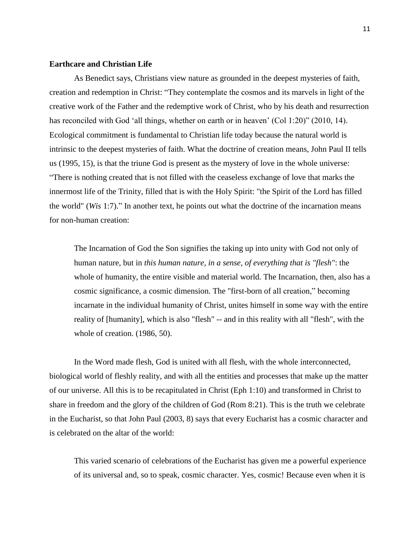# **Earthcare and Christian Life**

As Benedict says, Christians view nature as grounded in the deepest mysteries of faith, creation and redemption in Christ: "They contemplate the cosmos and its marvels in light of the creative work of the Father and the redemptive work of Christ, who by his death and resurrection has reconciled with God 'all things, whether on earth or in heaven'  $(Col 1:20)$ " (2010, 14). Ecological commitment is fundamental to Christian life today because the natural world is intrinsic to the deepest mysteries of faith. What the doctrine of creation means, John Paul II tells us (1995, 15), is that the triune God is present as the mystery of love in the whole universe: ―There is nothing created that is not filled with the ceaseless exchange of love that marks the innermost life of the Trinity, filled that is with the Holy Spirit: "the Spirit of the Lord has filled the world" (*Wis* 1:7)." In another text, he points out what the doctrine of the incarnation means for non-human creation:

The Incarnation of God the Son signifies the taking up into unity with God not only of human nature, but in *this human nature, in a sense, of everything that is "flesh"*: the whole of humanity, the entire visible and material world. The Incarnation, then, also has a cosmic significance, a cosmic dimension. The "first-born of all creation," becoming incarnate in the individual humanity of Christ, unites himself in some way with the entire reality of [humanity], which is also "flesh" -- and in this reality with all "flesh", with the whole of creation. (1986, 50).

In the Word made flesh, God is united with all flesh, with the whole interconnected, biological world of fleshly reality, and with all the entities and processes that make up the matter of our universe. All this is to be recapitulated in Christ (Eph 1:10) and transformed in Christ to share in freedom and the glory of the children of God (Rom 8:21). This is the truth we celebrate in the Eucharist, so that John Paul (2003, 8) says that every Eucharist has a cosmic character and is celebrated on the altar of the world:

This varied scenario of celebrations of the Eucharist has given me a powerful experience of its universal and, so to speak, cosmic character. Yes, cosmic! Because even when it is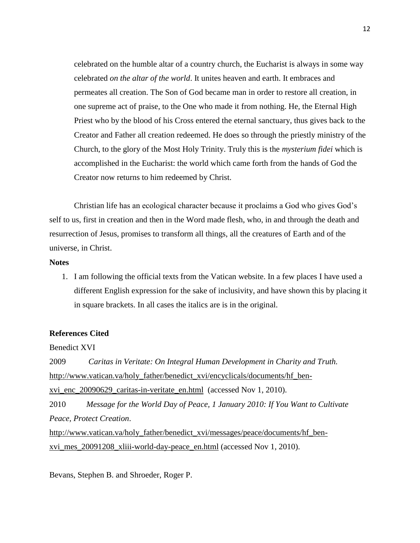celebrated on the humble altar of a country church, the Eucharist is always in some way celebrated *on the altar of the world*. It unites heaven and earth. It embraces and permeates all creation. The Son of God became man in order to restore all creation, in one supreme act of praise, to the One who made it from nothing. He, the Eternal High Priest who by the blood of his Cross entered the eternal sanctuary, thus gives back to the Creator and Father all creation redeemed. He does so through the priestly ministry of the Church, to the glory of the Most Holy Trinity. Truly this is the *mysterium fidei* which is accomplished in the Eucharist: the world which came forth from the hands of God the Creator now returns to him redeemed by Christ.

Christian life has an ecological character because it proclaims a God who gives God's self to us, first in creation and then in the Word made flesh, who, in and through the death and resurrection of Jesus, promises to transform all things, all the creatures of Earth and of the universe, in Christ.

#### **Notes**

1. I am following the official texts from the Vatican website. In a few places I have used a different English expression for the sake of inclusivity, and have shown this by placing it in square brackets. In all cases the italics are is in the original.

#### **References Cited**

Benedict XVI

2009 *Caritas in Veritate: On Integral Human Development in Charity and Truth.* [http://www.vatican.va/holy\\_father/benedict\\_xvi/encyclicals/documents/hf\\_ben](http://www.vatican.va/holy_father/benedict_xvi/encyclicals/documents/hf_ben-xvi_enc_20090629_caritas-in-veritate_en.html)xvi enc 20090629 caritas-in-veritate en.html (accessed Nov 1, 2010). 2010 *Message for the World Day of Peace, 1 January 2010: If You Want to Cultivate Peace, Protect Creation*. [http://www.vatican.va/holy\\_father/benedict\\_xvi/messages/peace/documents/hf\\_ben](http://www.vatican.va/holy_father/benedict_xvi/messages/peace/documents/hf_ben-xvi_mes_20091208_xliii-world-day-peace_en.html)[xvi\\_mes\\_20091208\\_xliii-world-day-peace\\_en.html](http://www.vatican.va/holy_father/benedict_xvi/messages/peace/documents/hf_ben-xvi_mes_20091208_xliii-world-day-peace_en.html) (accessed Nov 1, 2010).

Bevans, Stephen B. and Shroeder, Roger P.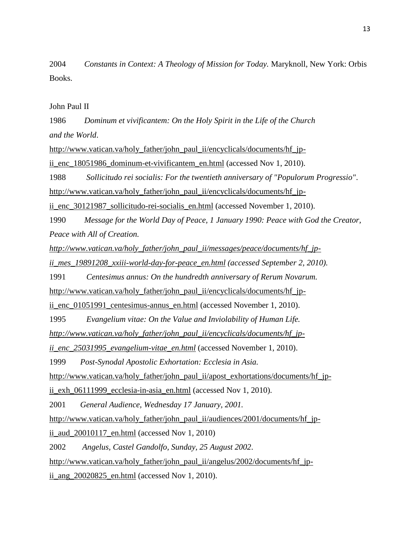2004 *Constants in Context: A Theology of Mission for Today.* Maryknoll, New York: Orbis Books.

John Paul II

1986 *Dominum et vivificantem: On the Holy Spirit in the Life of the Church and the World*.

[http://www.vatican.va/holy\\_father/john\\_paul\\_ii/encyclicals/documents/hf\\_jp-](http://www.vatican.va/holy_father/john_paul_ii/encyclicals/documents/hf_jp-ii_enc_18051986_dominum-et-vivificantem_en.html)

ii enc. 18051986 dominum-et-vivificantem\_en.html (accessed Nov 1, 2010).

1988 *Sollicitudo rei socialis: For the twentieth anniversary of "Populorum Progressio"*.

[http://www.vatican.va/holy\\_father/john\\_paul\\_ii/encyclicals/documents/hf\\_jp-](http://www.vatican.va/holy_father/john_paul_ii/encyclicals/documents/hf_jp-ii_enc_30121987_sollicitudo-rei-socialis_en.html)

[ii\\_enc\\_30121987\\_sollicitudo-rei-socialis\\_en.html](http://www.vatican.va/holy_father/john_paul_ii/encyclicals/documents/hf_jp-ii_enc_30121987_sollicitudo-rei-socialis_en.html) (accessed November 1, 2010).

1990 *Message for the World Day of Peace, 1 January 1990: Peace with God the Creator, Peace with All of Creation.* 

*[http://www.vatican.va/holy\\_father/john\\_paul\\_ii/messages/peace/documents/hf\\_jp-](http://www.vatican.va/holy_father/john_paul_ii/messages/peace/documents/hf_jp-ii_mes_19891208_xxiii-world-day-for-peace_en.html)*

*[ii\\_mes\\_19891208\\_xxiii-world-day-for-peace\\_en.html](http://www.vatican.va/holy_father/john_paul_ii/messages/peace/documents/hf_jp-ii_mes_19891208_xxiii-world-day-for-peace_en.html) (accessed September 2, 2010).*

1991 *Centesimus annus: On the hundredth anniversary of Rerum Novarum.*

[http://www.vatican.va/holy\\_father/john\\_paul\\_ii/encyclicals/documents/hf\\_jp-](http://www.vatican.va/holy_father/john_paul_ii/encyclicals/documents/hf_jp-ii_enc_01051991_centesimus-annus_en.html)

ii enc 01051991 centesimus-annus en.html (accessed November 1, 2010).

1995 *Evangelium vitae: On the Value and Inviolability of Human Life.*

*[http://www.vatican.va/holy\\_father/john\\_paul\\_ii/encyclicals/documents/hf\\_jp-](http://www.vatican.va/holy_father/john_paul_ii/encyclicals/documents/hf_jp-ii_enc_25031995_evangelium-vitae_en.html)*

*[ii\\_enc\\_25031995\\_evangelium-vitae\\_en.html](http://www.vatican.va/holy_father/john_paul_ii/encyclicals/documents/hf_jp-ii_enc_25031995_evangelium-vitae_en.html)* (accessed November 1, 2010).

1999 *Post-Synodal Apostolic Exhortation: Ecclesia in Asia.*

[http://www.vatican.va/holy\\_father/john\\_paul\\_ii/apost\\_exhortations/documents/hf\\_jp-](http://www.vatican.va/holy_father/john_paul_ii/apost_exhortations/documents/hf_jp-ii_exh_06111999_ecclesia-in-asia_en.html)

[ii\\_exh\\_06111999\\_ecclesia-in-asia\\_en.html](http://www.vatican.va/holy_father/john_paul_ii/apost_exhortations/documents/hf_jp-ii_exh_06111999_ecclesia-in-asia_en.html) (accessed Nov 1, 2010).

2001 *General Audience, Wednesday 17 January, 2001.*

[http://www.vatican.va/holy\\_father/john\\_paul\\_ii/audiences/2001/documents/hf\\_jp-](http://www.vatican.va/holy_father/john_paul_ii/audiences/2001/documents/hf_jp-ii_aud_20010117_en.html)

[ii\\_aud\\_20010117\\_en.html](http://www.vatican.va/holy_father/john_paul_ii/audiences/2001/documents/hf_jp-ii_aud_20010117_en.html) (accessed Nov 1, 2010)

2002 *Angelus, Castel Gandolfo, Sunday, 25 August 2002*.

[http://www.vatican.va/holy\\_father/john\\_paul\\_ii/angelus/2002/documents/hf\\_jp-](http://www.vatican.va/holy_father/john_paul_ii/angelus/2002/documents/hf_jp-ii_ang_20020825_en.html)

ii ang  $20020825$  en.html (accessed Nov 1, 2010).